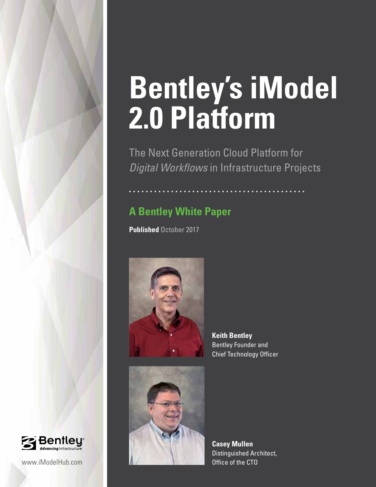# **Bentley's iModel 2.0 Platform**

The Next Generation Cloud Platform for *Digital Workflows* in Infrastructure Projects

## **A Bentley White Paper**

**Published** October 2017



**Keith Bentley** Bentley Founder and Chief Technology Officer



**Casey Mullen** Distinguished Architect,

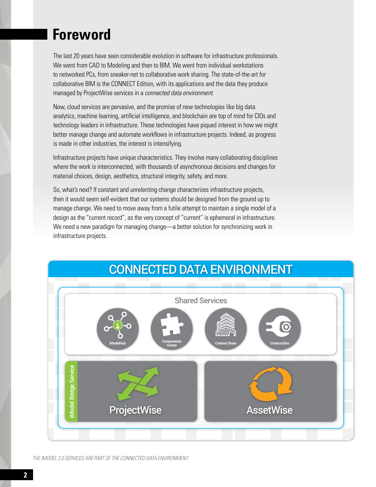# **Foreword**

The last 20 years have seen considerable evolution in software for infrastructure professionals. We went from CAD to Modeling and then to BIM. We went from individual workstations to networked PCs, from sneaker-net to collaborative work sharing. The state-of-the-art for collaborative BIM is the CONNECT Edition, with its applications and the data they produce managed by ProjectWise services in a *connected data environment*.

Now, cloud services are pervasive, and the promise of new technologies like big data analytics, machine learning, artificial intelligence, and blockchain are top of mind for CIOs and technology leaders in infrastructure. These technologies have piqued interest in how we might better manage change and automate workflows in infrastructure projects. Indeed, as progress is made in other industries, the interest is intensifying.

Infrastructure projects have unique characteristics. They involve many collaborating disciplines where the work is interconnected, with thousands of asynchronous decisions and changes for material choices, design, aesthetics, structural integrity, safety, and more.

So, what's next? If constant and unrelenting change characterizes infrastructure projects, then it would seem self-evident that our systems should be designed from the ground up to manage change. We need to move away from a futile attempt to maintain a single model of a design as the "current record", as the very concept of "current" is ephemeral in infrastructure. We need a new paradigm for managing change—a better solution for synchronizing work in infrastructure projects.



*THE IMODEL 2.0 SERVICES ARE PART OF THE CONNECTED DATA ENVIRONMENT.*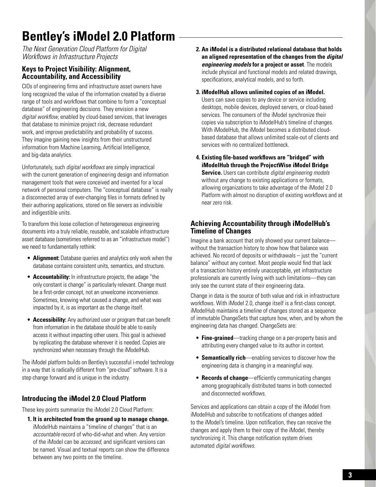# **Bentley's iModel 2.0 Platform**

*The Next Generation Cloud Platform for Digital Workflows in Infrastructure Projects*

## **Keys to Project Visibility: Alignment, Accountability, and Accessibility**

CIOs of engineering firms and infrastructure asset owners have long recognized the value of the information created by a diverse range of tools and workflows that combine to form a "conceptual database" of engineering decisions. They envision a new *digital workflow*, enabled by cloud-based services, that leverages that database to minimize project risk, decrease redundant work, and improve predictability and probability of success. They imagine gaining new insights from their unstructured information from Machine Learning, Artificial Intelligence, and big-data analytics.

Unfortunately, such *digital workflows* are simply impractical with the current generation of engineering design and information management tools that were conceived and invented for a local network of personal computers. The "conceptual database" is really a disconnected array of ever-changing files in formats defined by their authoring applications, stored on file servers as indivisible and indigestible units.

To transform this loose collection of heterogeneous engineering documents into a truly reliable, reusable, and scalable infrastructure asset database (sometimes referred to as an "infrastructure model") we need to fundamentally rethink:

- **• Alignment:** Database queries and analytics only work when the database contains consistent units, semantics, and structure.
- **• Accountability:** In infrastructure projects, the adage "the only constant is change" is particularly relevant. Change must be a first-order concept, not an unwelcome inconvenience. Sometimes, knowing what caused a change, and what was impacted by it, is as important as the change itself.
- **• Accessibility:** Any authorized user or program that can benefit from information in the database should be able to easily access it without impacting other users. This goal is achieved by replicating the database wherever it is needed. Copies are synchronized when necessary through the iModelHub.

The iModel platform builds on Bentley's successful i-model technology in a way that is radically different from "pre-cloud" software. It is a step change forward and is unique in the industry.

## **Introducing the iModel 2.0 Cloud Platform**

These key points summarize the iModel 2.0 Cloud Platform:

**1. It is architected from the ground up to manage change.** iModelHub maintains a "timeline of changes" that is an *accountable* record of who-did-what and when. Any version of the iModel can be *accessed*, and significant versions can be named. Visual and textual reports can show the difference between any two points on the timeline.

- **2. An iModel is a distributed relational database that holds an aligned representation of the changes from the** *digital engineering models* **for a project or asset**. The models include physical and functional models and related drawings, specifications, analytical models, and so forth.
- **3. iModelHub allows unlimited copies of an iModel.** Users can save copies to any device or service including desktops, mobile devices, deployed servers, or cloud-based services. The consumers of the iModel synchronize their copies via subscription to iModelHub's timeline of changes. With iModelHub, the iModel becomes a distributed cloudbased database that allows unlimited scale-out of clients and services with no centralized bottleneck.
- **4. Existing file-based workflows are "bridged" with iModelHub through the ProjectWise iModel Bridge Service.** Users can contribute *digital engineering models* without any change to existing applications or formats, allowing organizations to take advantage of the iModel 2.0 Platform with almost no disruption of existing workflows and at near zero risk.

### **Achieving Accountability through iModelHub's Timeline of Changes**

Imagine a bank account that only showed your current balance without the transaction history to show how that balance was achieved. No record of deposits or withdrawals – just the "current balance" without any context. Most people would find that lack of a transaction history entirely unacceptable, yet infrastructure professionals are currently living with such limitations—they can only see the current state of their engineering data.

Change in data is the source of both value and risk in infrastructure workflows. With iModel 2.0, change itself is a first-class concept. iModelHub maintains a timeline of changes stored as a sequence of immutable ChangeSets that capture how, when, and by whom the engineering data has changed. ChangeSets are:

- **• Fine-grained**—tracking change on a per-property basis and attributing every changed value to its author in context.
- **• Semantically rich**—enabling services to discover how the engineering data is changing in a meaningful way.
- **• Records of change**—efficiently communicating changes among geographically distributed teams in both connected and disconnected workflows.

Services and applications can obtain a copy of the iModel from iModelHub and subscribe to notifications of changes added to the iModel's timeline. Upon notification, they can receive the changes and apply them to their copy of the iModel, thereby synchronizing it. This change notification system drives automated *digital workflows*.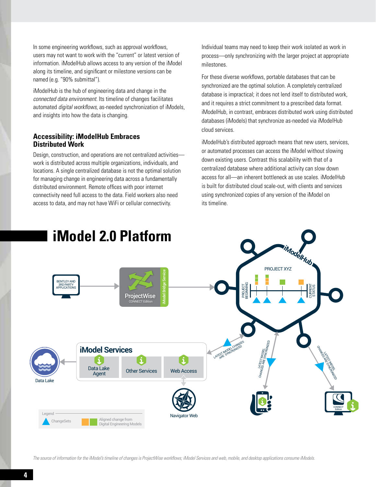In some engineering workflows, such as approval workflows, users may not want to work with the "current" or latest version of information. iModelHub allows access to any version of the iModel along its timeline, and significant or milestone versions can be named (e.g. "90% submittal").

iModelHub is the hub of engineering data and change in the *connected data environment*. Its timeline of changes facilitates automated *digital workflows*, as-needed synchronization of iModels, and insights into how the data is changing.

#### **Accessibility: iModelHub Embraces Distributed Work**

Design, construction, and operations are not centralized activities work is distributed across multiple organizations, individuals, and locations. A single centralized database is not the optimal solution for managing change in engineering data across a fundamentally distributed environment. Remote offices with poor internet connectivity need full access to the data. Field workers also need access to data, and may not have WiFi or cellular connectivity.

Individual teams may need to keep their work isolated as work in process—only synchronizing with the larger project at appropriate milestones.

For these diverse workflows, portable databases that can be synchronized are the optimal solution. A completely centralized database is impractical; it does not lend itself to distributed work, and it requires a strict commitment to a prescribed data format. iModelHub, in contrast, embraces distributed work using distributed databases (iModels) that synchronize as-needed via iModelHub cloud services.

iModelHub's distributed approach means that new users, services, or automated processes can access the iModel without slowing down existing users. Contrast this scalability with that of a centralized database where additional activity can slow down access for all—an inherent bottleneck as use scales. iModelHub is built for distributed cloud scale-out, with clients and services using synchronized copies of any version of the iModel on its timeline.



*The source of information for the iModel's timeline of changes is ProjectWise workflows; iModel Services and web, mobile, and desktop applications consume iModels.*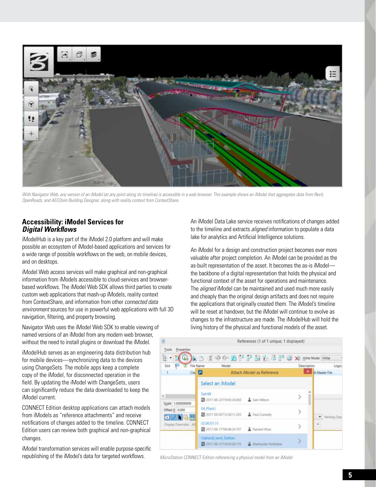

With Navigator Web, any version of an iModel (at any point along its timeline) is accessible in a web browser. This example shows an iModel that aggregates data from Revit, *OpenRoads, and AECOsim Building Designer, along with reality context from ContextShare.*

#### **Accessibility: iModel Services for** *Digital Workflows*

iModelHub is a key part of the iModel 2.0 platform and will make possible an ecosystem of iModel-based applications and services for a wide range of possible workflows on the web, on mobile devices, and on desktops.

iModel Web access services will make graphical and non-graphical information from iModels accessible to cloud-services and browserbased workflows. The iModel Web SDK allows third parties to create custom web applications that mash-up iModels, reality context from ContextShare, and information from other *connected data environment* sources for use in powerful web applications with full 3D navigation, filtering, and property browsing.

Navigator Web uses the iModel Web SDK to enable viewing of named versions of an iModel from any modern web browser, without the need to install plugins or download the iModel.

iModelHub serves as an engineering data distribution hub for mobile devices—synchronizing data to the devices using ChangeSets. The mobile apps keep a complete copy of the iModel, for disconnected operation in the field. By updating the iModel with ChangeSets, users can significantly reduce the data downloaded to keep the iModel current.

CONNECT Edition desktop applications can attach models from iModels as "reference attachments" and receive notifications of changes added to the timeline. CONNECT Edition users can review both graphical and non-graphical changes.

iModel transformation services will enable purpose-specific republishing of the iModel's data for targeted workflows.

An iModel Data Lake service receives notifications of changes added to the timeline and extracts *aligned* information to populate a data lake for analytics and Artificial Intelligence solutions.

An iModel for a design and construction project becomes ever more valuable after project completion. An iModel can be provided as the as-built representation of the asset. It becomes the as-is iModel the backbone of a digital representation that holds the physical and functional context of the asset for operations and maintenance. The *aligned* iModel can be maintained and used much more easily and cheaply than the original design artifacts and does not require the applications that originally created them. The iModel's timeline will be reset at handover, but the iModel will continue to evolve as changes to the infrastructure are made. The iModelHub will hold the living history of the physical and functional models of the asset.

| n                                                          |                      | References (1 of 1 unique, 1 displayed)                                                                                  |                            |                       |                |
|------------------------------------------------------------|----------------------|--------------------------------------------------------------------------------------------------------------------------|----------------------------|-----------------------|----------------|
| Properties<br>Tools<br>E.                                  |                      |                                                                                                                          |                            | X Hilite Mode: Hilite |                |
| Slot-                                                      | File Name            | Model                                                                                                                    |                            | Description           | Logic          |
| $\mathbf{1}$                                               | $Ca$ $H$             |                                                                                                                          | Attach iModel as Reference | ×                     | th Master File |
| $\epsilon$<br>Scale 1,000000000<br>Offset X 0.000<br>■ノト店場 | SamW                 | Select an iModel<br>第2017-08-22T19:42:24.850<br>1 Sam Wilson<br>04 Plant.i<br>Paul Connelly<br>篇 2017-09-05T12:30:11.293 |                            | ⋗                     |                |
|                                                            |                      |                                                                                                                          |                            |                       |                |
|                                                            |                      |                                                                                                                          |                            | ⋋                     | · Nesting Dep  |
| Display Overrides: All                                     | 02.00.01.15          | 第 2017-08-17T06:46:24.707                                                                                                | X Naveed Khan              | 5                     |                |
|                                                            | Oakland_west_Station | 第2017-08-31T14:50:28.710                                                                                                 | A Mantvydas Verbickas      | ð                     |                |

*MicroStation CONNECT Edition referencing a physical model from an iModel*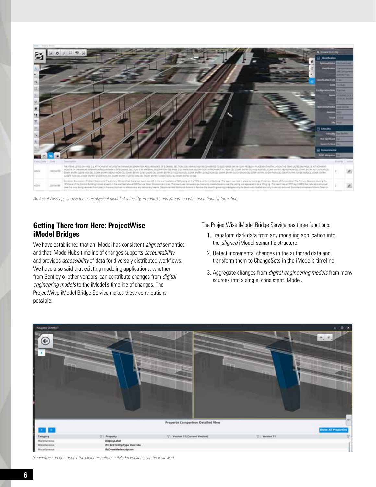

*An AssetWise app shows the as-is physical model of a facility, in context, and integrated with operational information.*

#### **Getting There from Here: ProjectWise iModel Bridges**

We have established that an iModel has consistent *aligned* semantics and that iModelHub's timeline of changes supports *accountability* and provides *accessibility* of data for diversely distributed workflows. We have also said that existing modeling applications, whether from Bentley or other vendors, can contribute changes from *digital engineering models* to the iModel's timeline of changes. The ProjectWise iModel Bridge Service makes these contributions possible.

The ProjectWise iModel Bridge Service has three functions:

- 1. Transform dark data from any modeling application into the *aligned* iModel semantic structure.
- 2. Detect incremental changes in the authored data and transform them to ChangeSets in the iModel's timeline.
- 3. Aggregate changes from *digital engineering models* from many sources into a single, consistent iModel.



*Geometric and non-geometric changes between iModel versions can be reviewed.*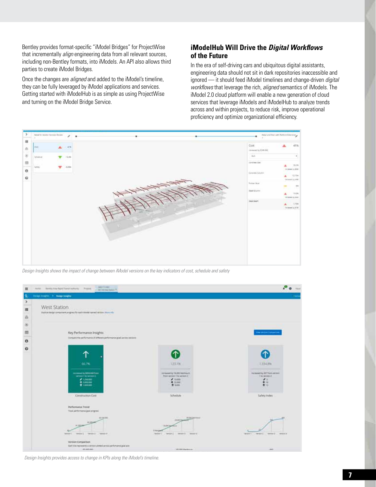Bentley provides format-specific "iModel Bridges" for ProjectWise that incrementally *align* engineering data from all relevant sources, including non-Bentley formats, into iModels. An API also allows third parties to create iModel Bridges.

Once the changes are *aligned* and added to the iModel's timeline, they can be fully leveraged by iModel applications and services. Getting started with iModelHub is as simple as using ProjectWise and turning on the iModel Bridge Service.

#### **iModelHub Will Drive the** *Digital Workflows* **of the Future**

In the era of self-driving cars and ubiquitous digital assistants, engineering data should not sit in dark repositories inaccessible and ignored — it should feed iModel timelines and change-driven *digital workflows* that leverage the rich, *aligned* semantics of iModels. The iModel 2.0 cloud platform will enable a new generation of cloud services that leverage iModels and iModelHub to analyze trends across and within projects, to reduce risk, improve operational proficiency and optimize organizational efficiency.



*Design Insights shows the impact of change between iModel versions on the key indicators of cost, schedule and safety*



*Design Insights provides access to change in KPIs along the iModel's timeline.*